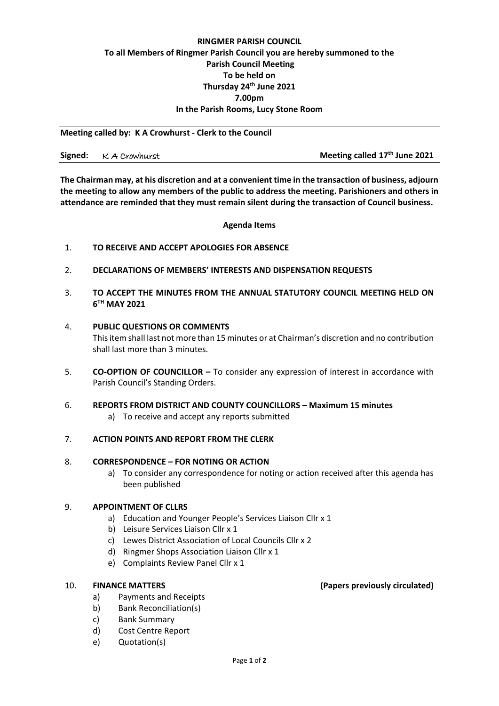# **RINGMER PARISH COUNCIL To all Members of Ringmer Parish Council you are hereby summoned to the Parish Council Meeting To be held on Thursday 24th June 2021 7.00pm In the Parish Rooms, Lucy Stone Room**

**Meeting called by: K A Crowhurst - Clerk to the Council**

**Signed:**  $\kappa$  A Crowhurst **Meeting called** 17<sup>th</sup> June 2021

**The Chairman may, at his discretion and at a convenient time in the transaction of business, adjourn the meeting to allow any members of the public to address the meeting. Parishioners and others in attendance are reminded that they must remain silent during the transaction of Council business.**

#### **Agenda Items**

- 1. **TO RECEIVE AND ACCEPT APOLOGIES FOR ABSENCE**
- 2. **DECLARATIONS OF MEMBERS' INTERESTS AND DISPENSATION REQUESTS**
- 3. **TO ACCEPT THE MINUTES FROM THE ANNUAL STATUTORY COUNCIL MEETING HELD ON 6 TH MAY 2021**

#### 4. **PUBLIC QUESTIONS OR COMMENTS**

This item shall last not more than 15 minutes or at Chairman's discretion and no contribution shall last more than 3 minutes.

5. **CO-OPTION OF COUNCILLOR –** To consider any expression of interest in accordance with Parish Council's Standing Orders.

## 6. **REPORTS FROM DISTRICT AND COUNTY COUNCILLORS – Maximum 15 minutes**

a) To receive and accept any reports submitted

## 7. **ACTION POINTS AND REPORT FROM THE CLERK**

#### 8. **CORRESPONDENCE – FOR NOTING OR ACTION**

a) To consider any correspondence for noting or action received after this agenda has been published

#### 9. **APPOINTMENT OF CLLRS**

- a) Education and Younger People's Services Liaison Cllr x 1
- b) Leisure Services Liaison Cllr x 1
- c) Lewes District Association of Local Councils Cllr x 2
- d) Ringmer Shops Association Liaison Cllr x 1
- e) Complaints Review Panel Cllr x 1

- a) Payments and Receipts
- b) Bank Reconciliation(s)
- c) Bank Summary
- d) Cost Centre Report
- e) Quotation(s)

## 10. **FINANCE MATTERS (Papers previously circulated)**